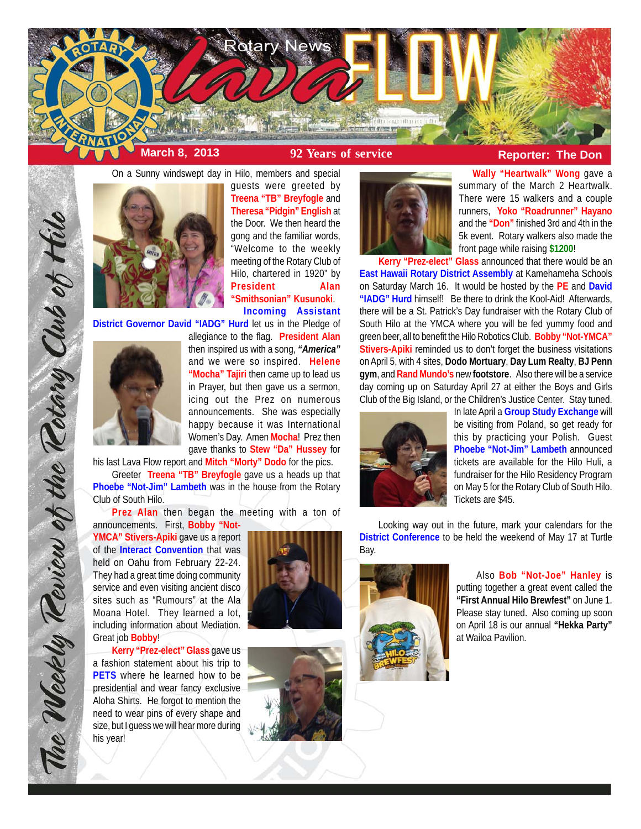

**Wally "Heartwalk" Wong** gave a summary of the March 2 Heartwalk. There were 15 walkers and a couple runners, **Yoko "Roadrunner" Hayano** and the **"Don"** finished 3rd and 4th in the 5k event. Rotary walkers also made the

front page while raising **\$1200**!

**Kerry "Prez-elect" Glass** announced that there would be an **East Hawaii Rotary District Assembly** at Kamehameha Schools on Saturday March 16. It would be hosted by the **PE** and **David "IADG" Hurd** himself! Be there to drink the Kool-Aid! Afterwards, there will be a St. Patrick's Day fundraiser with the Rotary Club of South Hilo at the YMCA where you will be fed yummy food and green beer, all to benefit the Hilo Robotics Club. **Bobby "Not-YMCA" Stivers-Apiki** reminded us to don't forget the business visitations on April 5, with 4 sites, **Dodo Mortuary**, **Day Lum Realty**, **BJ Penn gym**, and **Rand Mundo's** new **footstore**. Also there will be a service



On a Sunny windswept day in Hilo, members and special guests were greeted by **Treena "TB" Breyfogle** and **Theresa "Pidgin" English** at the Door. We then heard the gong and the familiar words, "Welcome to the weekly meeting of the Rotary Club of Hilo, chartered in 1920" by **President Alan "Smithsonian" Kusunoki**. **Incoming Assistant**

**District Governor David "IADG" Hurd** let us in the Pledge of



The Weekly Teview of the Tetary Club of Hilo

allegiance to the flag. **President Alan** then inspired us with a song, *"America"* and we were so inspired. **Helene "Mocha" Tajiri** then came up to lead us in Prayer, but then gave us a sermon, icing out the Prez on numerous announcements. She was especially happy because it was International Women's Day. Amen **Mocha**! Prez then gave thanks to **Stew "Da" Hussey** for

his last Lava Flow report and **Mitch "Morty" Dodo** for the pics.

Greeter **Treena "TB" Breyfogle** gave us a heads up that **Phoebe "Not-Jim" Lambeth** was in the house from the Rotary Club of South Hilo.

**Prez Alan** then began the meeting with a ton of announcements. First, **Bobby "Not-**

**YMCA" Stivers-Apiki** gave us a report of the **Interact Convention** that was held on Oahu from February 22-24. They had a great time doing community service and even visiting ancient disco sites such as "Rumours" at the Ala Moana Hotel. They learned a lot, including information about Mediation. Great job **Bobby**!

**Kerry "Prez-elect" Glass** gave us a fashion statement about his trip to **PETS** where he learned how to be presidential and wear fancy exclusive Aloha Shirts. He forgot to mention the need to wear pins of every shape and size, but I guess we will hear more during his year!





In late April a **Group Study Exchange** will be visiting from Poland, so get ready for this by practicing your Polish. Guest **Phoebe "Not-Jim" Lambeth** announced tickets are available for the Hilo Huli, a fundraiser for the Hilo Residency Program on May 5 for the Rotary Club of South Hilo. Tickets are \$45.

Looking way out in the future, mark your calendars for the **District Conference** to be held the weekend of May 17 at Turtle Bay.



 Also **Bob "Not-Joe" Hanley** is putting together a great event called the **"First Annual Hilo Brewfest"** on June 1. Please stay tuned. Also coming up soon on April 18 is our annual **"Hekka Party"** at Wailoa Pavilion.